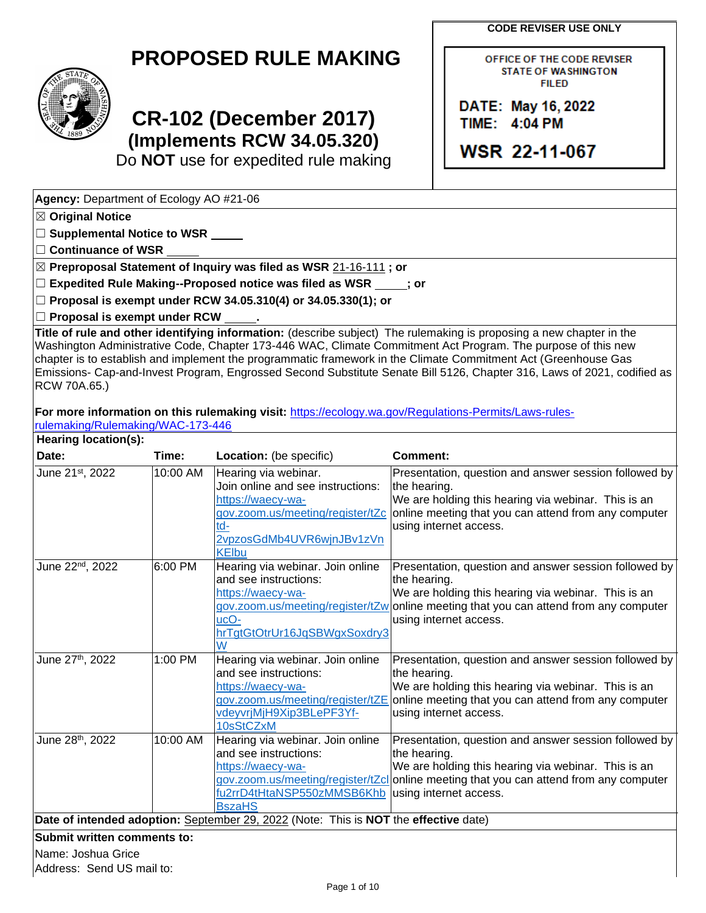**CODE REVISER USE ONLY**

OFFICE OF THE CODE REVISER **STATE OF WASHINGTON FILED** 

DATE: May 16, 2022 TIME: 4:04 PM

**WSR 22-11-067** 

## **PROPOSED RULE MAKING**



# **CR-102 (December 2017) (Implements RCW 34.05.320)**

Do **NOT** use for expedited rule making

**Agency:** Department of Ecology AO #21-06

☒ **Original Notice**

☐ **Supplemental Notice to WSR**

☐ **Continuance of WSR**

☒ **Preproposal Statement of Inquiry was filed as WSR** 21-16-111 **; or**

☐ **Expedited Rule Making--Proposed notice was filed as WSR ; or**

☐ **Proposal is exempt under RCW 34.05.310(4) or 34.05.330(1); or**

☐ **Proposal is exempt under RCW .**

**Title of rule and other identifying information:** (describe subject) The rulemaking is proposing a new chapter in the Washington Administrative Code, Chapter 173-446 WAC, Climate Commitment Act Program. The purpose of this new chapter is to establish and implement the programmatic framework in the Climate Commitment Act (Greenhouse Gas Emissions- Cap-and-Invest Program, Engrossed Second Substitute Senate Bill 5126, Chapter 316, Laws of 2021, codified as RCW 70A.65.)

**For more information on this rulemaking visit:** [https://ecology.wa.gov/Regulations-Permits/Laws-rules-](https://ecology.wa.gov/Regulations-Permits/Laws-rules-rulemaking/Rulemaking/WAC-173-446)

| rulemaking/Rulemaking/WAC-173-446 |          |                                                                                                                                                        |                                                                                                                                                                                                                                                 |
|-----------------------------------|----------|--------------------------------------------------------------------------------------------------------------------------------------------------------|-------------------------------------------------------------------------------------------------------------------------------------------------------------------------------------------------------------------------------------------------|
| <b>Hearing location(s):</b>       |          |                                                                                                                                                        |                                                                                                                                                                                                                                                 |
| Date:                             | Time:    | Location: (be specific)                                                                                                                                | <b>Comment:</b>                                                                                                                                                                                                                                 |
| June 21st, 2022                   | 10:00 AM | Hearing via webinar.<br>Join online and see instructions:<br>https://waecy-wa-<br>$td-$<br>2vpzosGdMb4UVR6wjnJBv1zVn<br><b>KElbu</b>                   | Presentation, question and answer session followed by<br>the hearing.<br>We are holding this hearing via webinar. This is an<br>gov.zoom.us/meeting/register/tZc online meeting that you can attend from any computer<br>using internet access. |
| June 22nd, 2022                   | 6:00 PM  | Hearing via webinar. Join online<br>and see instructions:<br>https://waecy-wa-<br>ucO-<br>hrTgtGtOtrUr16JqSBWgxSoxdry3<br>W                            | Presentation, question and answer session followed by<br>the hearing.<br>We are holding this hearing via webinar. This is an<br>gov.zoom.us/meeting/register/tZw online meeting that you can attend from any computer<br>using internet access. |
| June 27th, 2022                   | 1:00 PM  | Hearing via webinar. Join online<br>and see instructions:<br>https://waecy-wa-<br>vdeyvrjMjH9Xip3BLePF3Yf-<br>10sStCZxM                                | Presentation, question and answer session followed by<br>the hearing.<br>We are holding this hearing via webinar. This is an<br>gov.zoom.us/meeting/register/tZE online meeting that you can attend from any computer<br>using internet access. |
| June 28th, 2022                   | 10:00 AM | Hearing via webinar. Join online<br>and see instructions:<br>https://waecy-wa-<br>fu2rrD4tHtaNSP550zMMSB6Khb   using internet access.<br><b>BszaHS</b> | Presentation, question and answer session followed by<br>the hearing.<br>We are holding this hearing via webinar. This is an<br>gov.zoom.us/meeting/register/tZclonline meeting that you can attend from any computer                           |
|                                   |          | Date of intended adoption: September 29, 2022 (Note: This is NOT the effective date)                                                                   |                                                                                                                                                                                                                                                 |
| Submit written comments to:       |          |                                                                                                                                                        |                                                                                                                                                                                                                                                 |

Name: Joshua Grice

Address: Send US mail to: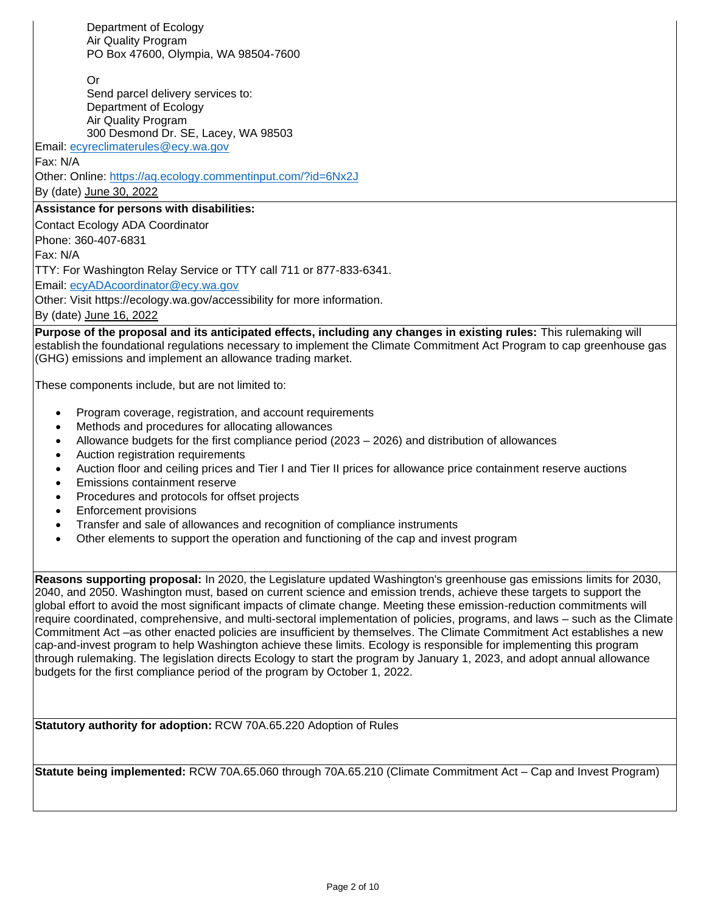Department of Ecology Air Quality Program PO Box 47600, Olympia, WA 98504-7600

Or

Send parcel delivery services to: Department of Ecology Air Quality Program 300 Desmond Dr. SE, Lacey, WA 98503

Email: [ecyreclimaterules@ecy.wa.gov](mailto:ecyreclimaterules@ecy.wa.gov)

Fax: N/A

Other: Online:<https://aq.ecology.commentinput.com/?id=6Nx2J>

By (date) June 30, 2022

## **Assistance for persons with disabilities:**

Contact Ecology ADA Coordinator Phone: 360-407-6831 Fax: N/A TTY: For Washington Relay Service or TTY call 711 or 877-833-6341. Email: [ecyADAcoordinator@ecy.wa.gov](mailto:ecyADAcoordinator@ecy.wa.gov) Other: Visit https://ecology.wa.gov/accessibility for more information.

By (date) June 16, 2022

**Purpose of the proposal and its anticipated effects, including any changes in existing rules:** This rulemaking will establish the foundational regulations necessary to implement the Climate Commitment Act Program to cap greenhouse gas (GHG) emissions and implement an allowance trading market.

These components include, but are not limited to:

- Program coverage, registration, and account requirements
- Methods and procedures for allocating allowances
- Allowance budgets for the first compliance period (2023 2026) and distribution of allowances
- Auction registration requirements
- Auction floor and ceiling prices and Tier I and Tier II prices for allowance price containment reserve auctions
- Emissions containment reserve
- Procedures and protocols for offset projects
- Enforcement provisions
- Transfer and sale of allowances and recognition of compliance instruments
- Other elements to support the operation and functioning of the cap and invest program

**Reasons supporting proposal:** In 2020, the Legislature updated Washington's greenhouse gas emissions limits for 2030, 2040, and 2050. Washington must, based on current science and emission trends, achieve these targets to support the global effort to avoid the most significant impacts of climate change. Meeting these emission-reduction commitments will require coordinated, comprehensive, and multi-sectoral implementation of policies, programs, and laws – such as the Climate Commitment Act –as other enacted policies are insufficient by themselves. The Climate Commitment Act establishes a new cap-and-invest program to help Washington achieve these limits. Ecology is responsible for implementing this program through rulemaking. The legislation directs Ecology to start the program by January 1, 2023, and adopt annual allowance budgets for the first compliance period of the program by October 1, 2022.

**Statutory authority for adoption:** RCW 70A.65.220 Adoption of Rules

**Statute being implemented:** RCW 70A.65.060 through 70A.65.210 (Climate Commitment Act – Cap and Invest Program)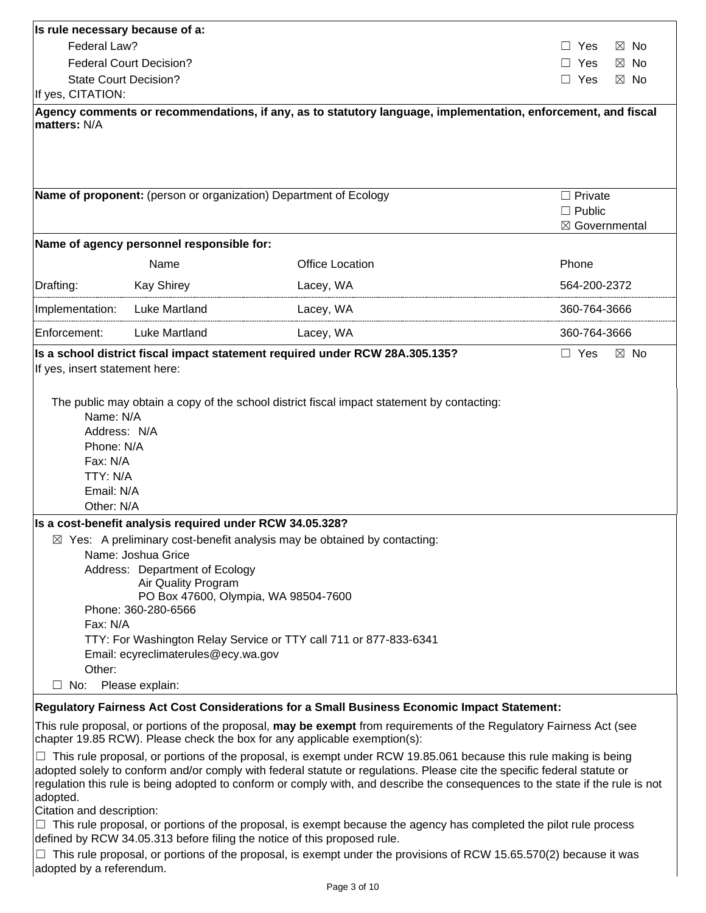| Is rule necessary because of a:                                                                                                                                                                                                                                                                                                                                                            |                                                                                                                                                                                                   |                                                                                                               |                                 |  |  |  |
|--------------------------------------------------------------------------------------------------------------------------------------------------------------------------------------------------------------------------------------------------------------------------------------------------------------------------------------------------------------------------------------------|---------------------------------------------------------------------------------------------------------------------------------------------------------------------------------------------------|---------------------------------------------------------------------------------------------------------------|---------------------------------|--|--|--|
| Federal Law?                                                                                                                                                                                                                                                                                                                                                                               |                                                                                                                                                                                                   |                                                                                                               | $\boxtimes$ No<br>Yes           |  |  |  |
|                                                                                                                                                                                                                                                                                                                                                                                            | <b>Federal Court Decision?</b><br>Yes<br>$\boxtimes$ No                                                                                                                                           |                                                                                                               |                                 |  |  |  |
| <b>State Court Decision?</b>                                                                                                                                                                                                                                                                                                                                                               | $\Box$ Yes<br>$\boxtimes$ No                                                                                                                                                                      |                                                                                                               |                                 |  |  |  |
| If yes, CITATION:                                                                                                                                                                                                                                                                                                                                                                          |                                                                                                                                                                                                   |                                                                                                               |                                 |  |  |  |
| matters: N/A                                                                                                                                                                                                                                                                                                                                                                               |                                                                                                                                                                                                   | Agency comments or recommendations, if any, as to statutory language, implementation, enforcement, and fiscal |                                 |  |  |  |
|                                                                                                                                                                                                                                                                                                                                                                                            |                                                                                                                                                                                                   | Name of proponent: (person or organization) Department of Ecology                                             | $\Box$ Private<br>$\Box$ Public |  |  |  |
|                                                                                                                                                                                                                                                                                                                                                                                            | Name of agency personnel responsible for:                                                                                                                                                         |                                                                                                               | ⊠ Governmental                  |  |  |  |
|                                                                                                                                                                                                                                                                                                                                                                                            |                                                                                                                                                                                                   |                                                                                                               |                                 |  |  |  |
|                                                                                                                                                                                                                                                                                                                                                                                            | Name                                                                                                                                                                                              | <b>Office Location</b>                                                                                        | Phone                           |  |  |  |
| Drafting:                                                                                                                                                                                                                                                                                                                                                                                  | <b>Kay Shirey</b>                                                                                                                                                                                 | Lacey, WA                                                                                                     | 564-200-2372                    |  |  |  |
| Implementation:                                                                                                                                                                                                                                                                                                                                                                            | Luke Martland                                                                                                                                                                                     | Lacey, WA                                                                                                     | 360-764-3666                    |  |  |  |
| Enforcement:                                                                                                                                                                                                                                                                                                                                                                               | <b>Luke Martland</b>                                                                                                                                                                              | Lacey, WA                                                                                                     | 360-764-3666                    |  |  |  |
| Name: N/A<br>Address: N/A<br>Phone: N/A<br>Fax: N/A<br>TTY: N/A<br>Email: N/A<br>Other: N/A                                                                                                                                                                                                                                                                                                |                                                                                                                                                                                                   |                                                                                                               |                                 |  |  |  |
|                                                                                                                                                                                                                                                                                                                                                                                            | Is a cost-benefit analysis required under RCW 34.05.328?                                                                                                                                          |                                                                                                               |                                 |  |  |  |
|                                                                                                                                                                                                                                                                                                                                                                                            |                                                                                                                                                                                                   | $\boxtimes$ Yes: A preliminary cost-benefit analysis may be obtained by contacting:                           |                                 |  |  |  |
|                                                                                                                                                                                                                                                                                                                                                                                            | Name: Joshua Grice<br>Address: Department of Ecology                                                                                                                                              |                                                                                                               |                                 |  |  |  |
|                                                                                                                                                                                                                                                                                                                                                                                            | Air Quality Program                                                                                                                                                                               |                                                                                                               |                                 |  |  |  |
|                                                                                                                                                                                                                                                                                                                                                                                            | PO Box 47600, Olympia, WA 98504-7600                                                                                                                                                              |                                                                                                               |                                 |  |  |  |
| Fax: N/A                                                                                                                                                                                                                                                                                                                                                                                   | Phone: 360-280-6566                                                                                                                                                                               |                                                                                                               |                                 |  |  |  |
|                                                                                                                                                                                                                                                                                                                                                                                            | TTY: For Washington Relay Service or TTY call 711 or 877-833-6341                                                                                                                                 |                                                                                                               |                                 |  |  |  |
| Email: ecyreclimaterules@ecy.wa.gov                                                                                                                                                                                                                                                                                                                                                        |                                                                                                                                                                                                   |                                                                                                               |                                 |  |  |  |
| Other:                                                                                                                                                                                                                                                                                                                                                                                     |                                                                                                                                                                                                   |                                                                                                               |                                 |  |  |  |
| No:<br>ш                                                                                                                                                                                                                                                                                                                                                                                   | Please explain:                                                                                                                                                                                   |                                                                                                               |                                 |  |  |  |
|                                                                                                                                                                                                                                                                                                                                                                                            |                                                                                                                                                                                                   | Regulatory Fairness Act Cost Considerations for a Small Business Economic Impact Statement:                   |                                 |  |  |  |
|                                                                                                                                                                                                                                                                                                                                                                                            | This rule proposal, or portions of the proposal, may be exempt from requirements of the Regulatory Fairness Act (see<br>chapter 19.85 RCW). Please check the box for any applicable exemption(s): |                                                                                                               |                                 |  |  |  |
| This rule proposal, or portions of the proposal, is exempt under RCW 19.85.061 because this rule making is being<br>adopted solely to conform and/or comply with federal statute or regulations. Please cite the specific federal statute or<br>regulation this rule is being adopted to conform or comply with, and describe the consequences to the state if the rule is not<br>adopted. |                                                                                                                                                                                                   |                                                                                                               |                                 |  |  |  |

Citation and description:

 $\Box$  This rule proposal, or portions of the proposal, is exempt because the agency has completed the pilot rule process defined by RCW 34.05.313 before filing the notice of this proposed rule.

 $\Box$  This rule proposal, or portions of the proposal, is exempt under the provisions of RCW 15.65.570(2) because it was adopted by a referendum.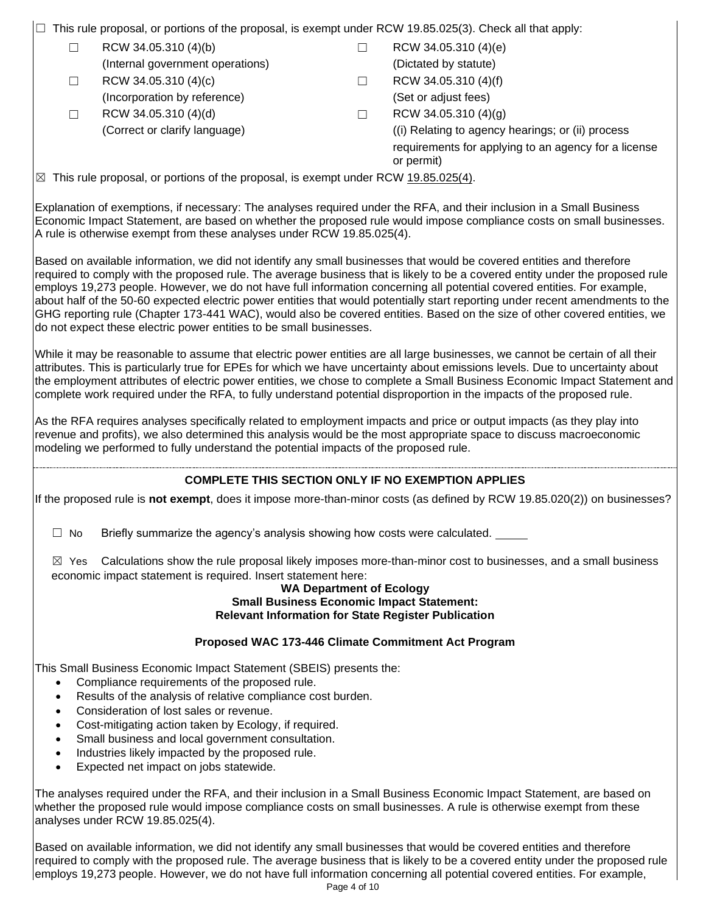☐ This rule proposal, or portions of the proposal, is exempt under RCW 19.85.025(3). Check all that apply:

- $□$  RCW 34.05.310 (4)(b)  $□$  RCW 34.05.310 (4)(e)
- $□$  RCW 34.05.310 (4)(c)  $□$  RCW 34.05.310 (4)(f)
- $□$  RCW 34.05.310 (4)(d)  $□$  RCW 34.05.310 (4)(g)
- (Internal government operations) (Dictated by statute)
- (Incorporation by reference) (Set or adjust fees)
	- (Correct or clarify language) ((i) Relating to agency hearings; or (ii) process requirements for applying to an agency for a license or permit)

 $\boxtimes$  This rule proposal, or portions of the proposal, is exempt under RCW 19.85.025(4).

Explanation of exemptions, if necessary: The analyses required under the RFA, and their inclusion in a Small Business Economic Impact Statement, are based on whether the proposed rule would impose compliance costs on small businesses. A rule is otherwise exempt from these analyses under RCW 19.85.025(4).

Based on available information, we did not identify any small businesses that would be covered entities and therefore required to comply with the proposed rule. The average business that is likely to be a covered entity under the proposed rule employs 19,273 people. However, we do not have full information concerning all potential covered entities. For example, about half of the 50-60 expected electric power entities that would potentially start reporting under recent amendments to the GHG reporting rule (Chapter 173-441 WAC), would also be covered entities. Based on the size of other covered entities, we do not expect these electric power entities to be small businesses.

While it may be reasonable to assume that electric power entities are all large businesses, we cannot be certain of all their attributes. This is particularly true for EPEs for which we have uncertainty about emissions levels. Due to uncertainty about the employment attributes of electric power entities, we chose to complete a Small Business Economic Impact Statement and complete work required under the RFA, to fully understand potential disproportion in the impacts of the proposed rule.

As the RFA requires analyses specifically related to employment impacts and price or output impacts (as they play into revenue and profits), we also determined this analysis would be the most appropriate space to discuss macroeconomic modeling we performed to fully understand the potential impacts of the proposed rule.

## **COMPLETE THIS SECTION ONLY IF NO EXEMPTION APPLIES**

If the proposed rule is **not exempt**, does it impose more-than-minor costs (as defined by RCW 19.85.020(2)) on businesses?

 $\Box$  No Briefly summarize the agency's analysis showing how costs were calculated.

 $\boxtimes$  Yes Calculations show the rule proposal likely imposes more-than-minor cost to businesses, and a small business economic impact statement is required. Insert statement here:

#### **WA Department of Ecology Small Business Economic Impact Statement: Relevant Information for State Register Publication**

## **Proposed WAC 173-446 Climate Commitment Act Program**

This Small Business Economic Impact Statement (SBEIS) presents the:

- Compliance requirements of the proposed rule.
- Results of the analysis of relative compliance cost burden.
- Consideration of lost sales or revenue.
- Cost-mitigating action taken by Ecology, if required.
- Small business and local government consultation.
- Industries likely impacted by the proposed rule.
- Expected net impact on jobs statewide.

The analyses required under the RFA, and their inclusion in a Small Business Economic Impact Statement, are based on whether the proposed rule would impose compliance costs on small businesses. A rule is otherwise exempt from these analyses under RCW 19.85.025(4).

Based on available information, we did not identify any small businesses that would be covered entities and therefore required to comply with the proposed rule. The average business that is likely to be a covered entity under the proposed rule employs 19,273 people. However, we do not have full information concerning all potential covered entities. For example,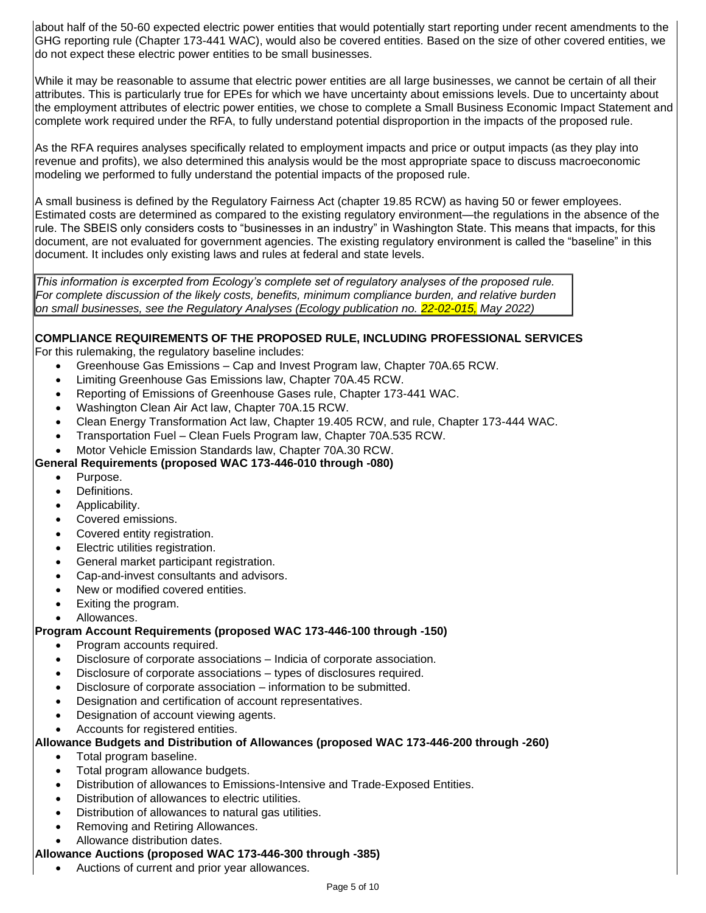about half of the 50-60 expected electric power entities that would potentially start reporting under recent amendments to the GHG reporting rule (Chapter 173-441 WAC), would also be covered entities. Based on the size of other covered entities, we do not expect these electric power entities to be small businesses.

While it may be reasonable to assume that electric power entities are all large businesses, we cannot be certain of all their attributes. This is particularly true for EPEs for which we have uncertainty about emissions levels. Due to uncertainty about the employment attributes of electric power entities, we chose to complete a Small Business Economic Impact Statement and complete work required under the RFA, to fully understand potential disproportion in the impacts of the proposed rule.

As the RFA requires analyses specifically related to employment impacts and price or output impacts (as they play into revenue and profits), we also determined this analysis would be the most appropriate space to discuss macroeconomic modeling we performed to fully understand the potential impacts of the proposed rule.

A small business is defined by the Regulatory Fairness Act (chapter 19.85 RCW) as having 50 or fewer employees. Estimated costs are determined as compared to the existing regulatory environment—the regulations in the absence of the rule. The SBEIS only considers costs to "businesses in an industry" in Washington State. This means that impacts, for this document, are not evaluated for government agencies. The existing regulatory environment is called the "baseline" in this document. It includes only existing laws and rules at federal and state levels.

*This information is excerpted from Ecology's complete set of regulatory analyses of the proposed rule. For complete discussion of the likely costs, benefits, minimum compliance burden, and relative burden on small businesses, see the Regulatory Analyses (Ecology publication no. 22-02-015, May 2022)*

## **COMPLIANCE REQUIREMENTS OF THE PROPOSED RULE, INCLUDING PROFESSIONAL SERVICES**

For this rulemaking, the regulatory baseline includes:

- Greenhouse Gas Emissions Cap and Invest Program law, Chapter 70A.65 RCW.
- Limiting Greenhouse Gas Emissions law, Chapter 70A.45 RCW.
- Reporting of Emissions of Greenhouse Gases rule, Chapter 173-441 WAC.
- Washington Clean Air Act law, Chapter 70A.15 RCW.
- Clean Energy Transformation Act law, Chapter 19.405 RCW, and rule, Chapter 173-444 WAC.
- Transportation Fuel Clean Fuels Program law, Chapter 70A.535 RCW.
- Motor Vehicle Emission Standards law, Chapter 70A.30 RCW.

#### **General Requirements (proposed WAC 173-446-010 through -080)**

- Purpose.
- Definitions.
- Applicability.
- Covered emissions.
- Covered entity registration.
- Electric utilities registration.
- General market participant registration.
- Cap-and-invest consultants and advisors.
- New or modified covered entities.
- Exiting the program.
- Allowances.

## **Program Account Requirements (proposed WAC 173-446-100 through -150)**

- Program accounts required.
- Disclosure of corporate associations Indicia of corporate association.
- Disclosure of corporate associations types of disclosures required.
- Disclosure of corporate association information to be submitted.
- Designation and certification of account representatives.
- Designation of account viewing agents.
- Accounts for registered entities.

#### **Allowance Budgets and Distribution of Allowances (proposed WAC 173-446-200 through -260)**

- Total program baseline.
- Total program allowance budgets.
- Distribution of allowances to Emissions-Intensive and Trade-Exposed Entities.
- Distribution of allowances to electric utilities.
- Distribution of allowances to natural gas utilities.
- Removing and Retiring Allowances.
- Allowance distribution dates.

## **Allowance Auctions (proposed WAC 173-446-300 through -385)**

• Auctions of current and prior year allowances.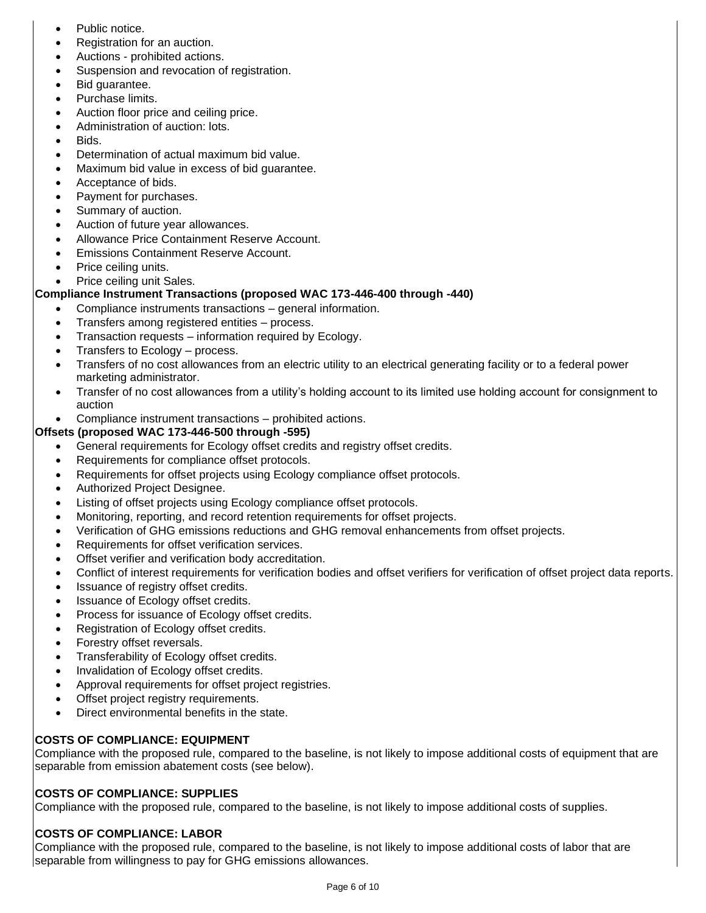- Public notice.
- Registration for an auction.
- Auctions prohibited actions.
- Suspension and revocation of registration.
- Bid quarantee.
- Purchase limits.
- Auction floor price and ceiling price.
- Administration of auction: lots.
- Bids.
- Determination of actual maximum bid value.
- Maximum bid value in excess of bid guarantee.
- Acceptance of bids.
- Payment for purchases.
- Summary of auction.
- Auction of future year allowances.
- Allowance Price Containment Reserve Account.
- Emissions Containment Reserve Account.
- Price ceiling units.
- Price ceiling unit Sales.

## **Compliance Instrument Transactions (proposed WAC 173-446-400 through -440)**

- Compliance instruments transactions general information.
- Transfers among registered entities process.
- Transaction requests information required by Ecology.
- Transfers to Ecology process.
- Transfers of no cost allowances from an electric utility to an electrical generating facility or to a federal power marketing administrator.
- Transfer of no cost allowances from a utility's holding account to its limited use holding account for consignment to auction
- Compliance instrument transactions prohibited actions.

## **Offsets (proposed WAC 173-446-500 through -595)**

- General requirements for Ecology offset credits and registry offset credits.
- Requirements for compliance offset protocols.
- Requirements for offset projects using Ecology compliance offset protocols.
- Authorized Project Designee.
- Listing of offset projects using Ecology compliance offset protocols.
- Monitoring, reporting, and record retention requirements for offset projects.
- Verification of GHG emissions reductions and GHG removal enhancements from offset projects.
- Requirements for offset verification services.
- Offset verifier and verification body accreditation.
- Conflict of interest requirements for verification bodies and offset verifiers for verification of offset project data reports.
- Issuance of registry offset credits.
- Issuance of Ecology offset credits.
- Process for issuance of Ecology offset credits.
- Registration of Ecology offset credits.
- Forestry offset reversals.
- Transferability of Ecology offset credits.
- Invalidation of Ecology offset credits.
- Approval requirements for offset project registries.
- Offset project registry requirements.
- Direct environmental benefits in the state.

## **COSTS OF COMPLIANCE: EQUIPMENT**

Compliance with the proposed rule, compared to the baseline, is not likely to impose additional costs of equipment that are separable from emission abatement costs (see below).

## **COSTS OF COMPLIANCE: SUPPLIES**

Compliance with the proposed rule, compared to the baseline, is not likely to impose additional costs of supplies.

## **COSTS OF COMPLIANCE: LABOR**

Compliance with the proposed rule, compared to the baseline, is not likely to impose additional costs of labor that are separable from willingness to pay for GHG emissions allowances.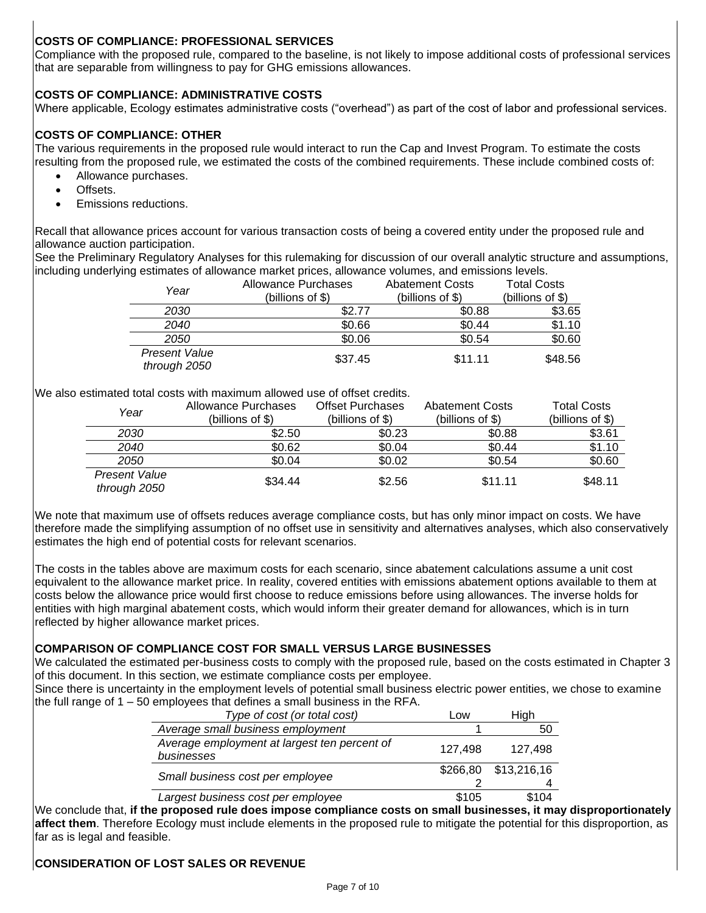## **COSTS OF COMPLIANCE: PROFESSIONAL SERVICES**

Compliance with the proposed rule, compared to the baseline, is not likely to impose additional costs of professional services that are separable from willingness to pay for GHG emissions allowances.

## **COSTS OF COMPLIANCE: ADMINISTRATIVE COSTS**

Where applicable, Ecology estimates administrative costs ("overhead") as part of the cost of labor and professional services.

#### **COSTS OF COMPLIANCE: OTHER**

The various requirements in the proposed rule would interact to run the Cap and Invest Program. To estimate the costs resulting from the proposed rule, we estimated the costs of the combined requirements. These include combined costs of:

- Allowance purchases.
- Offsets.
- Emissions reductions.

Recall that allowance prices account for various transaction costs of being a covered entity under the proposed rule and allowance auction participation.

See the Preliminary Regulatory Analyses for this rulemaking for discussion of our overall analytic structure and assumptions, including underlying estimates of allowance market prices, allowance volumes, and emissions levels.

| Year                                 | <b>Allowance Purchases</b> | <b>Abatement Costs</b> | <b>Total Costs</b> |
|--------------------------------------|----------------------------|------------------------|--------------------|
|                                      | (billions of \$)           | (billions of $$$ )     | (billions of $$$ ) |
| 2030                                 | \$2.77                     | \$0.88                 | \$3.65             |
| 2040                                 | \$0.66                     | \$0.44                 | \$1.10             |
| 2050                                 | \$0.06                     | \$0.54                 | \$0.60             |
| <b>Present Value</b><br>through 2050 | \$37.45                    | \$11.11                | \$48.56            |

We also estimated total costs with maximum allowed use of offset credits.

| Year                                 | Allowance Purchases<br>(billions of \$) | <b>Offset Purchases</b><br>(billions of $$$ ) | <b>Abatement Costs</b><br>(billions of $$)$ ) | <b>Total Costs</b><br>(billions of \$) |
|--------------------------------------|-----------------------------------------|-----------------------------------------------|-----------------------------------------------|----------------------------------------|
| 2030                                 | \$2.50                                  | \$0.23                                        | \$0.88                                        | \$3.61                                 |
| 2040                                 | \$0.62                                  | \$0.04                                        | \$0.44                                        | \$1.10                                 |
| 2050                                 | \$0.04                                  | \$0.02                                        | \$0.54                                        | \$0.60                                 |
| <b>Present Value</b><br>through 2050 | \$34.44                                 | \$2.56                                        | \$11.11                                       | \$48.11                                |

We note that maximum use of offsets reduces average compliance costs, but has only minor impact on costs. We have therefore made the simplifying assumption of no offset use in sensitivity and alternatives analyses, which also conservatively estimates the high end of potential costs for relevant scenarios.

The costs in the tables above are maximum costs for each scenario, since abatement calculations assume a unit cost equivalent to the allowance market price. In reality, covered entities with emissions abatement options available to them at costs below the allowance price would first choose to reduce emissions before using allowances. The inverse holds for entities with high marginal abatement costs, which would inform their greater demand for allowances, which is in turn reflected by higher allowance market prices.

#### **COMPARISON OF COMPLIANCE COST FOR SMALL VERSUS LARGE BUSINESSES**

We calculated the estimated per-business costs to comply with the proposed rule, based on the costs estimated in Chapter 3 of this document. In this section, we estimate compliance costs per employee.

Since there is uncertainty in the employment levels of potential small business electric power entities, we chose to examine the full range of 1 – 50 employees that defines a small business in the RFA.

| Type of cost (or total cost)                               | Low      | Hiah        |
|------------------------------------------------------------|----------|-------------|
| Average small business employment                          |          | 50          |
| Average employment at largest ten percent of<br>businesses | 127.498  | 127.498     |
| Small business cost per employee                           | \$266,80 | \$13,216,16 |
|                                                            |          |             |
| Largest business cost per employee                         | \$105    | \$104       |

We conclude that, **if the proposed rule does impose compliance costs on small businesses, it may disproportionately affect them**. Therefore Ecology must include elements in the proposed rule to mitigate the potential for this disproportion, as far as is legal and feasible.

## **CONSIDERATION OF LOST SALES OR REVENUE**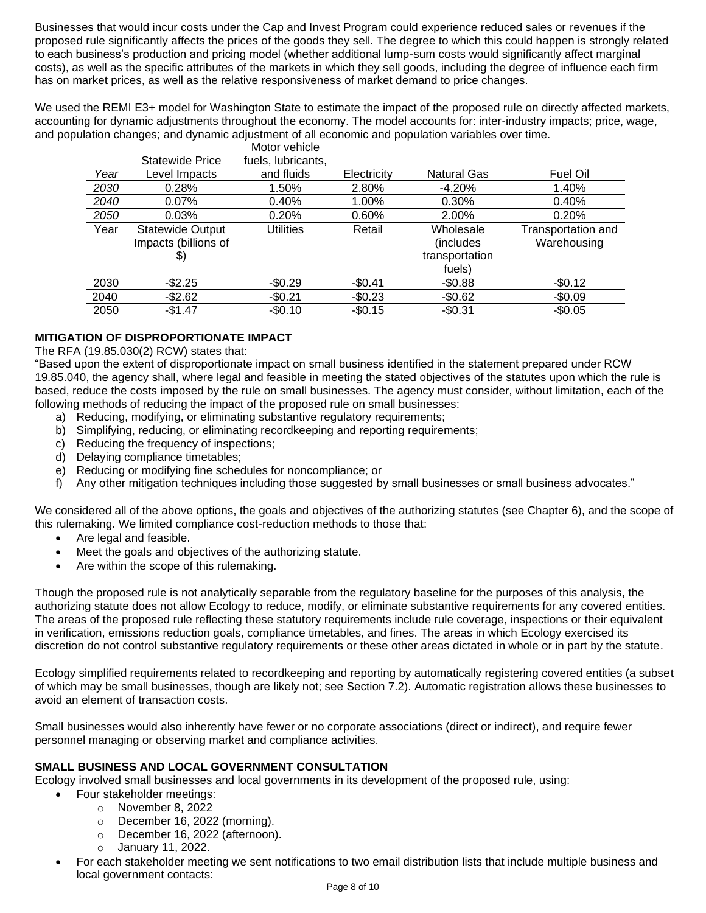Businesses that would incur costs under the Cap and Invest Program could experience reduced sales or revenues if the proposed rule significantly affects the prices of the goods they sell. The degree to which this could happen is strongly related to each business's production and pricing model (whether additional lump-sum costs would significantly affect marginal costs), as well as the specific attributes of the markets in which they sell goods, including the degree of influence each firm has on market prices, as well as the relative responsiveness of market demand to price changes.

We used the REMI E3+ model for Washington State to estimate the impact of the proposed rule on directly affected markets, accounting for dynamic adjustments throughout the economy. The model accounts for: inter-industry impacts; price, wage, and population changes; and dynamic adjustment of all economic and population variables over time. Motor vehicle

|      |                         | <b>IVIULUI VELIIUIE</b> |             |                    |                    |
|------|-------------------------|-------------------------|-------------|--------------------|--------------------|
|      | Statewide Price         | fuels, lubricants,      |             |                    |                    |
| Year | Level Impacts           | and fluids              | Electricity | <b>Natural Gas</b> | Fuel Oil           |
| 2030 | 0.28%                   | 1.50%                   | 2.80%       | $-4.20%$           | 1.40%              |
| 2040 | $0.07\%$                | 0.40%                   | 1.00%       | 0.30%              | 0.40%              |
| 2050 | 0.03%                   | 0.20%                   | 0.60%       | 2.00%              | 0.20%              |
| Year | <b>Statewide Output</b> | <b>Utilities</b>        | Retail      | Wholesale          | Transportation and |
|      | Impacts (billions of    |                         |             | (includes)         | Warehousing        |
|      | \$)                     |                         |             | transportation     |                    |
|      |                         |                         |             | fuels)             |                    |
| 2030 | $-$ \$2.25              | $-$0.29$                | $-$0.41$    | $-$0.88$           | $-$0.12$           |
| 2040 | -\$2.62                 | $-$0.21$                | $-$0.23$    | $-$0.62$           | $-$0.09$           |
| 2050 | $-$1.47$                | $-$0.10$                | $-$0.15$    | $-$0.31$           | $-$0.05$           |
|      |                         |                         |             |                    |                    |

## **MITIGATION OF DISPROPORTIONATE IMPACT**

The RFA (19.85.030(2) RCW) states that:

"Based upon the extent of disproportionate impact on small business identified in the statement prepared under RCW 19.85.040, the agency shall, where legal and feasible in meeting the stated objectives of the statutes upon which the rule is based, reduce the costs imposed by the rule on small businesses. The agency must consider, without limitation, each of the following methods of reducing the impact of the proposed rule on small businesses:

- a) Reducing, modifying, or eliminating substantive regulatory requirements;
- b) Simplifying, reducing, or eliminating recordkeeping and reporting requirements;
- c) Reducing the frequency of inspections;
- d) Delaying compliance timetables;
- e) Reducing or modifying fine schedules for noncompliance; or
- f) Any other mitigation techniques including those suggested by small businesses or small business advocates."

We considered all of the above options, the goals and objectives of the authorizing statutes (see Chapter 6), and the scope of this rulemaking. We limited compliance cost-reduction methods to those that:

- Are legal and feasible.
- Meet the goals and objectives of the authorizing statute.
- Are within the scope of this rulemaking.

Though the proposed rule is not analytically separable from the regulatory baseline for the purposes of this analysis, the authorizing statute does not allow Ecology to reduce, modify, or eliminate substantive requirements for any covered entities. The areas of the proposed rule reflecting these statutory requirements include rule coverage, inspections or their equivalent in verification, emissions reduction goals, compliance timetables, and fines. The areas in which Ecology exercised its discretion do not control substantive regulatory requirements or these other areas dictated in whole or in part by the statute.

Ecology simplified requirements related to recordkeeping and reporting by automatically registering covered entities (a subset of which may be small businesses, though are likely not; see Section 7.2). Automatic registration allows these businesses to avoid an element of transaction costs.

Small businesses would also inherently have fewer or no corporate associations (direct or indirect), and require fewer personnel managing or observing market and compliance activities.

#### **SMALL BUSINESS AND LOCAL GOVERNMENT CONSULTATION**

Ecology involved small businesses and local governments in its development of the proposed rule, using:

- Four stakeholder meetings:
	- o November 8, 2022
	- o December 16, 2022 (morning).
	- o December 16, 2022 (afternoon).
	- o January 11, 2022.
	- For each stakeholder meeting we sent notifications to two email distribution lists that include multiple business and local government contacts: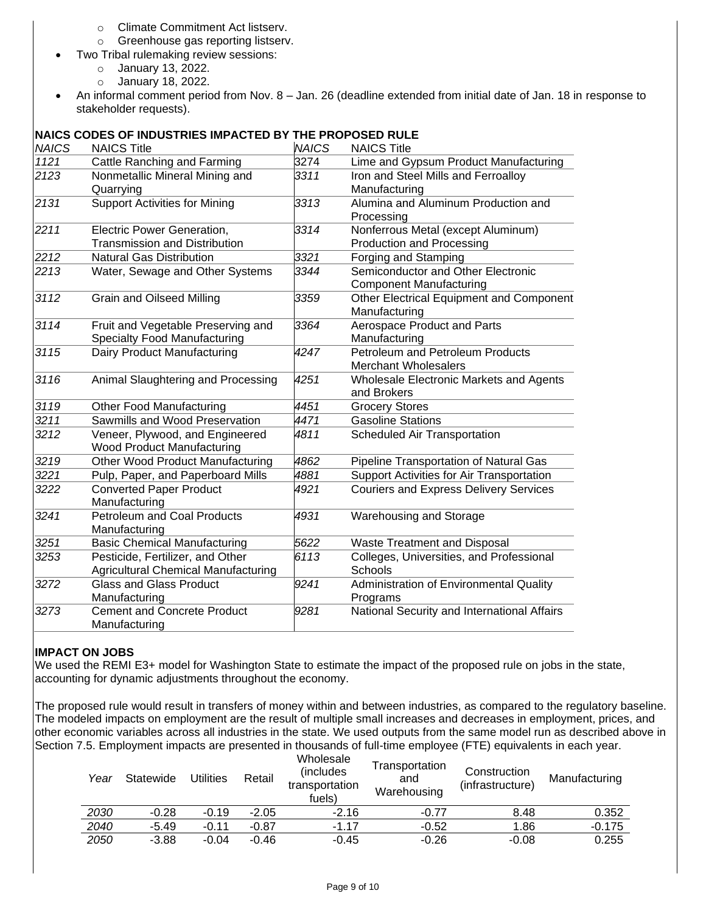- o Climate Commitment Act listserv.
- o Greenhouse gas reporting listserv.
- Two Tribal rulemaking review sessions:
	- o January 13, 2022.
		- o January 18, 2022.
- An informal comment period from Nov. 8 Jan. 26 (deadline extended from initial date of Jan. 18 in response to stakeholder requests).

## **NAICS CODES OF INDUSTRIES IMPACTED BY THE PROPOSED RULE**

| <b>NAICS</b> | <b>NAICS Title</b>                                                             | <b>NAICS</b> | <b>NAICS Title</b>                                                     |
|--------------|--------------------------------------------------------------------------------|--------------|------------------------------------------------------------------------|
| 1121         | Cattle Ranching and Farming                                                    | 3274         | Lime and Gypsum Product Manufacturing                                  |
| 2123         | Nonmetallic Mineral Mining and<br>Quarrying                                    | 3311         | Iron and Steel Mills and Ferroalloy<br>Manufacturing                   |
| 2131         | <b>Support Activities for Mining</b>                                           | 3313         | Alumina and Aluminum Production and<br>Processing                      |
| 2211         | Electric Power Generation,<br><b>Transmission and Distribution</b>             | 3314         | Nonferrous Metal (except Aluminum)<br><b>Production and Processing</b> |
| 2212         | <b>Natural Gas Distribution</b>                                                | 3321         | Forging and Stamping                                                   |
| 2213         | Water, Sewage and Other Systems                                                | 3344         | Semiconductor and Other Electronic<br><b>Component Manufacturing</b>   |
| 3112         | <b>Grain and Oilseed Milling</b>                                               | 3359         | Other Electrical Equipment and Component<br>Manufacturing              |
| 3114         | Fruit and Vegetable Preserving and<br><b>Specialty Food Manufacturing</b>      | 3364         | Aerospace Product and Parts<br>Manufacturing                           |
| 3115         | Dairy Product Manufacturing                                                    | 4247         | Petroleum and Petroleum Products<br><b>Merchant Wholesalers</b>        |
| 3116         | Animal Slaughtering and Processing                                             | 4251         | Wholesale Electronic Markets and Agents<br>and Brokers                 |
| 3119         | <b>Other Food Manufacturing</b>                                                | 4451         | <b>Grocery Stores</b>                                                  |
| 3211         | Sawmills and Wood Preservation                                                 | 4471         | <b>Gasoline Stations</b>                                               |
| 3212         | Veneer, Plywood, and Engineered<br><b>Wood Product Manufacturing</b>           | 4811         | Scheduled Air Transportation                                           |
| 3219         | <b>Other Wood Product Manufacturing</b>                                        | 4862         | Pipeline Transportation of Natural Gas                                 |
| 3221         | Pulp, Paper, and Paperboard Mills                                              | 4881         | Support Activities for Air Transportation                              |
| 3222         | <b>Converted Paper Product</b><br>Manufacturing                                | 4921         | <b>Couriers and Express Delivery Services</b>                          |
| 3241         | <b>Petroleum and Coal Products</b><br>Manufacturing                            | 4931         | Warehousing and Storage                                                |
| 3251         | <b>Basic Chemical Manufacturing</b>                                            | 5622         | <b>Waste Treatment and Disposal</b>                                    |
| 3253         | Pesticide, Fertilizer, and Other<br><b>Agricultural Chemical Manufacturing</b> | 6113         | Colleges, Universities, and Professional<br>Schools                    |
| 3272         | <b>Glass and Glass Product</b><br>Manufacturing                                | 9241         | Administration of Environmental Quality<br>Programs                    |
| 3273         | <b>Cement and Concrete Product</b><br>Manufacturing                            | 9281         | National Security and International Affairs                            |

#### **IMPACT ON JOBS**

We used the REMI E3+ model for Washington State to estimate the impact of the proposed rule on jobs in the state, accounting for dynamic adjustments throughout the economy.

The proposed rule would result in transfers of money within and between industries, as compared to the regulatory baseline. The modeled impacts on employment are the result of multiple small increases and decreases in employment, prices, and other economic variables across all industries in the state. We used outputs from the same model run as described above in Section 7.5. Employment impacts are presented in thousands of full-time employee (FTE) equivalents in each year.

| Year | Statewide | <b>Utilities</b> | Retail  | Wholesale<br>(includes)<br>transportation<br>fuels) | Transportation<br>and<br>Warehousing | Construction<br>(infrastructure) | Manufacturing |
|------|-----------|------------------|---------|-----------------------------------------------------|--------------------------------------|----------------------------------|---------------|
| 2030 | $-0.28$   | $-0.19$          | $-2.05$ | $-2.16$                                             | $-0.77$                              | 8.48                             | 0.352         |
| 2040 | -5.49     | $-0.11$          | $-0.87$ | -1.17                                               | $-0.52$                              | 1.86                             | $-0.175$      |
| 2050 | $-3.88$   | $-0.04$          | $-0.46$ | $-0.45$                                             | $-0.26$                              | $-0.08$                          | 0.255         |